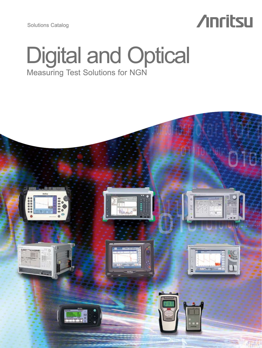Solutions Catalog

# **Anritsu**

# Digital and Optical Measuring Test Solutions for NGN

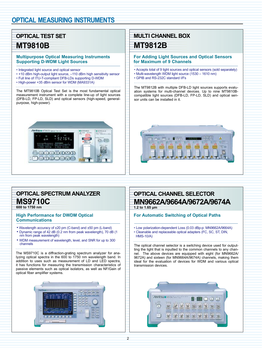# **Optical Test Set MT9810B**

### **Multipurpose Optical Measuring Instruments Supporting D-WDM Light Sources**

- Integrated light source and optical sensor
- +10 dBm high-output light source, –110 dBm high sensitivity sensor
- Full line of ITU-T-compliant DFB-LDs supporting D-WDM
- High-power +35 dBm sensor for WDM (MA9331A)

The MT9810B Optical Test Set is the most fundamental optical measurement instrument with a complete line-up of light sources (DFB-LD, FP-LD, SLD) and optical sensors (high-speed, generalpurpose, high-power).



# **Optical Spectrum Analyzer MS9710C**

**600 to 1750 nm**

#### **High Performance for DWDM Optical Communications**

- Wavelength accuracy of ±20 pm (C-band) and ±50 pm (L-band) • Dynamic range of 42 dB (0.2 nm from peak wavelength), 70 dB (1 nm from peak wavelength)
- WDM measurement of wavelength, level, and SNR for up to 300 channels

The MS9710C is a diffraction-grating spectrum analyzer for analyzing optical spectra in the 600 to 1750 nm wavelength band. In addition to uses such as measurement of LD and LED spectra, it has functions for measuring the transmission characteristics of passive elements such as optical isolators, as well as NF/Gain of optical fiber amplifier systems.



# **MULTI CHANNEL BOX MT9812B**

#### **For Adding Light Sources and Optical Sensors for Maximum of 9 Channels**

- Accepts total of 9 light sources and optical sensors (sold separately)
- Multi-wavelength WDM light source (1530 1610 nm)
- GPIB and RS-232C standard I/Fs

The MT9812B with multiple DFB-LD light sources supports evaluation systems for multi-channel devices. Up to nine MT9810Bcompatible light sources (DFB-LD, FP-LD, SLD) and optical sensor units can be installed in it.



## **OPTICAL CHANNEL SELECTOR MN9662A/9664A/9672A/9674A 1.2 to 1.65 µm**

#### **For Automatic Switching of Optical Paths**

• Low polarization-dependent Loss (0.03 dBp-p: MN9662A/9664A) • Cleanable and replaceable optical adapters (FC, SC, ST, DIN, HMS-10/A)

The optical channel selector is a switching device used for outputting the light that is inputted to the common channels to any channel. The above devices are equipped with eight (for MN9662A/ 9672A) and sixteen (for MN9664A/9674A) channels, making them ideal for the evaluation of devices for WDM and various optical transmission devices.

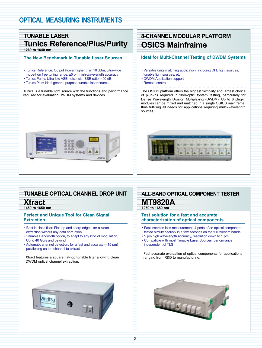# **tunable laser Tunics Reference/Plus/Purity 1260 to 1640 nm**

### **The New Benchmark in Tunable Laser Sources**

- Tunics Reference: Output Power higher than 10 dBm, ultra-wide mode-hop free tuning range, ±5 pm high-wavelength accuracy
- Tunics Purity: Ultra-low ASE noise with SSE ratio > 90 dB.
- Tunics Plus: Ideal general-purpose tunable laser source
- 

Tunics is a tunable light source with the functions and performance required for evaluating DWDM systems and devices.



# **8-Channel Modular Platform OSICS Mainfraime**

## **Ideal for Multi-Channel Testing of DWDM Systems**

- Versatile units matching application, including DFB light sources, tunable light sources, etc.
- DWDM Application support
- Remote control

The OSICS platform offers the highest flexibility and largest choice of plug-ins required in fiber-optic system testing, particularly for Dense Wavelength Division Multiplexing (DWDM). Up to 8 plug-in modules can be mixed and matched in a single OSICS mainframe, thus fulfilling all needs for applications requiring multi-wavelength sources.



# **TUNABLE OPTICAL CHANNEL DROP UNIT**

**Xtract 1450 to 1650 nm**

. . . . . . . . . .

### **Perfect and Unique Tool for Clean Signal Extraction**

- Best in class filter: Flat top and sharp edges, for a clean extraction without any data corruption
- Variable Bandwidth option, to adapt to any kind of modulation, Up to 40 Gb/s and beyond
- Automatic channel detection, for a fast and accurate (<15 pm) positioning on the channel to extract

Xtract features a square flat-top tunable filter allowing clean DWDM optical channel extraction.



# **ALL-BAND OPTICAL COMPONENT TESTER**

### **MT9820A 1250 to 1650 nm**

### **Test solution for a fast and accurate characterization of optical components**

- Fast insertion loss measurement: 4 ports of an optical component tested simultaneously in a few seconds on the full telecom bands
- 5 pm high wavelength accuracy, resolution down to 1 pm
- Compatible with most Tunable Laser Sources, performance independent of TLS

Fast accurate evaluation of optical components for applications ranging from R&D to manufacturing.

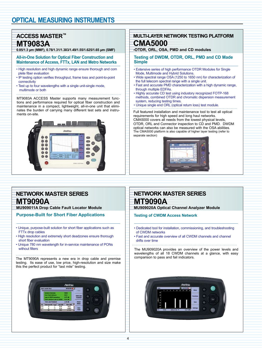# **ACCESS MASTER™ MT9083A**

**0.85/1.3 µm (MMF), 0.78/1.31/1.383/1.49/1.55/1.625/1.65 µm (SMF)**

#### **All-in-One Solution for Optical Fiber Construction and Maintenance of Access, FTTx, LAN and Metro Networks**

- High resolution and high dynamic range ensure thorough and com plete fiber evaluation
- IP testing option verifies throughput, frame loss and point-to-point connectivity
- Test up to four wavelengths with a single unit-single mode, multimode or both

MT9083A ACCESS Master supports many measurement functions and performance required for optical fiber construction and maintenance in a compact, lightweight, all-in-one unit that eliminates the burden of carrying many different test sets and instruments on-site.



# **Multi-Layer Network Testing Platform CMA5000**

**-OTDR, ORL, OSA, PMD and CD modules**

### **Testing of DWDM, OTDR, ORL, PMD and CD Made Simple**

- Extensive series of high performance OTDR Modules for Single Mode, Multimode and Hybrid Solutions.
- Wide spectral range OSA (1250 to 1650 nm) for characterization of the full telecom spectral range with a single unit.
- Fast and accurate PMD characterization with a high dynamic range, through multiple EDFAs.
- Highly accurate CD test using industory recognized FOTP-168 methods, combined OTDR and chromatic dispersion measurement system, reducing testing times.
- Unique single end ORL (optical return loss) test module.

Full featured installation and maintenance tool to test all optical requirements for high speed and long haul networks. CMA5000 covers all needs from the lowest physical levels, OTDR, ORL and Connector inspection to CD and PMD. DWDM optical networks can also be measured with the OSA abilities. The CMA5000 platform is also capable of higher layer testing (refer to separate section)



# **NETWORK MASTER SERIES MT9090A**

**mu909011a Drop Cable Fault Locator Module**

**Purpose-Built for Short Fiber Applications**

- Unique, purpose-built solution for short fiber applications such as FTTx drop cables
- High resolution and extremely short deadzones ensure thorough short fiber evaluation
- Unique 780 nm wavelength for in-service maintenance of PONs without filters

The MT9090A represents a new era in drop cable and premise testing. Its ease of use, low price, high-resolution and size make this the perfect product for "last mile" testing.



# **NETWORK MASTER SERIES MT9090A**

**MU909020A Optical Channel Analyzer Module**

**Testing of CWDM Access Network**

- Dedicated tool for installation, commissioning, and troubleshooting of CWDM networks
- Fast and accurate overview of all CWDM channels and channel drifts over time

The MU909020A provides an overview of the power levels and wavelengths of all 18 CWDM channels at a glance, with easy comparison to pass and fail indicators.

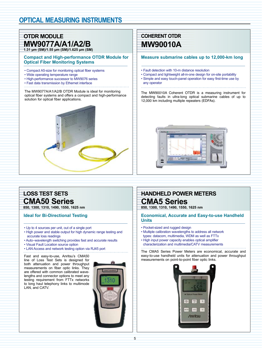# **OTDR MODULE MW9077A/A1/A2/B 1.31 µm (SM)/1.55 µm (SM)/1.625 µm (SM)**

**Compact and High-performance OTDR Module for Optical Fiber Monitoring Systems**

- Compact A5-size for monitoring optical fiber systems
- Wide operating temperature range
- High-performance successor to MW9076 series
- Fast data transmission by Ethernet interface

The MW9077A/A1/A2/B OTDR Module is ideal for monitoring optical fiber systems and offers a compact and high-performance solution for optical fiber applications.

# **COHERENT OTDR MW90010A**

#### **Measure submarine cables up to 12,000-km long**

- Fault detection with 10-m distance resolution
- Compact and lightweight all-in-one design for on-site portability • Simple and easy touch-panel operation for easy first-time use by any operator

The MW90010A Coherent OTDR is a measuring instrument for detecting faults in ultra-long optical submarine cables of up to 12,000 km including multiple repeaters (EDFAs).



# **loss Test sets CMA50 Series**

**850, 1300, 1310, 1490, 1550, 1625 nm**

## **Ideal for Bi-Directional Testing**

- Up to 4 sources per unit, out of a single port
- High power and stable output for high dynamic range testing and accurate loss readings
- Auto–wavelength switching provides fast and accurate results
- Visual Fault Location source option
- LAN Access and network testing option via RJ45 port

Fast and easy-to-use, Anritsu's CMA50 line of Loss Test Sets is designed for both attenuation and power throughput measurements on fiber optic links. They are offered with common calibrated wavelengths and connector options to meet any

testing requirement from FTTx networks to long haul telephony links to multimode

LAN, and CATV.



# **handheld Power Meters CMA5 Series**

**850, 1300, 1310, 1490, 1550, 1625 nm**

#### **Economical, Accurate and Easy-to-use Handheld Units**

- Pocket-sized and rugged design
- Multiple calibration wavelengths to address all network types: datacom, multimedia, WDM as well as FTTx
- High input power capacity enables optical amplifier characterization and multimedia/CATV measurements
- 

The CMA5 Series Power Meters are economical, accurate and easy-to-use handheld units for attenuation and power throughput measurements on point-to-point fiber optic links.

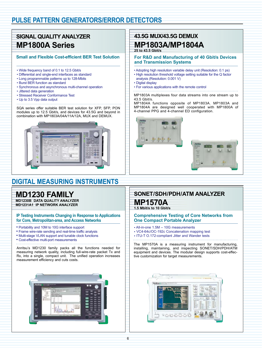# **PULSE PATTERN GENERATORS/ERROR DETECTORS**

# **SIGNAL QUALITY ANALYZER MP1800A Series**

### **Small and Flexible Cost-efficient BER Test Solution**

- Wide frequency band of 0.1 to 12.5 Gbit/s
- Differential and single-end interfaces as standard
- Long programmable patterns up to 128-Mbits
- Burst BER function as standard
- Synchronous and asynchronous multi-channel operation
- Jittered data generation
- Stressed Receiver Conformance Test
- Up to 3.5 Vpp data output
- 

SQA series offer suitable BER test solution for XFP, SFP, PON modules up to 12.5 Gbit/s, and devices for 43.5G and beyond in combination with MP1803A/04A/11A/12A, MUX and DEMUX.



# **DIGITAL MEASURING INSTRUMENTS**

# **MD1230 FAMILY**

**MD1230B DATA QUALITY ANALYZER MD1231A1 IP NETWORK ANALYZER**

**IP Testing Instruments Changing in Response to Applications for Core, Metropolitan-area, and Access Networks**

- Portability and 10M to 10G interface support
- Frame wire-rate sending and real-time traffic analysis
- Multi-stage VLAN support and tunable clock functions
- Cost-effective multi-port measurements

Anritsu's MD1230 family packs all the functions needed for measuring network quality, including full-wire-rate packet Tx and Rx, into a single, compact unit. The unified operation increases measurement efficiency and cuts costs.



# **43.5G MUX/43.5G DEMUX MP1803A/MP1804A**

**25 to 43.5 Gbit/s**

**For R&D and Manufacturing of 40 Gbit/s Devices and Transmission Systems**

- Adopting high resolution variable delay unit (Resolution: 0.1 ps)
- High resolution threshold voltage setting suitable for the Q factor analysis (Resolution: 0.001 V)
- Digital display
- For various applications with the remote control
- 

MP1803A multiplexes four data streams into one stream up to 43.5 Gbit/s.

MP1804A functions opposite of MP1803A. MP1803A and MP1804A are designed well cooperated with MP1800A of 4-channel PPG and 4-channel ED configuration.





# **SONET/SDH/PDH/ATM Analyzer MP1570A**

## **1.5 Mbit/s to 10 Gbit/s**

**Comprehensive Testing of Core Networks from One Compact Portable Analyzer**

- All-in-one 1.5M 10G measurements
- VC4-64c/OC-192c Concatenation mapping test
- ITU-T O.172-compliant Jitter and Wander tests
- 

The MP1570A is a measuring instrument for manufacturing, installing, maintaining, and inspecting SONET/SDH/PDH/ATM equipment and devices. The modular design supports cost-effective customization for target measurements.

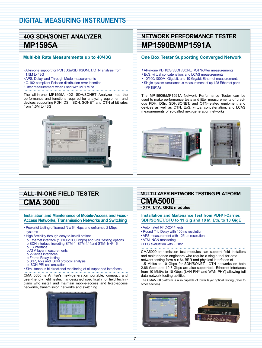# **DIGITAL MEASURING INSTRUMENTS**

# **40G SDH/SONET Analyzer MP1595A**

### **Multi-bit Rate Measurements up to 40/43G**

- All-in-one support for PDH/DSn/SDH/SONET/OTN analysis from 1.5M to 43G
- APS, Delay, and Through Mode measurements
- O.182-compliant Poisson distribution error insertion
- Jitter measurement when used with MP1797A

The all-in-one MP1595A 40G SDH/SONET Analyzer has the performance and functions required for analyzing equipment and devices supporting PDH, DSn, SDH, SONET, and OTN at bit rates from 1.5M to 43G.



# **Network Performance Tester MP1590B/MP1591A**

### **One Box Tester Supporting Converged Network**

- All-in-one PDH/DSn/SDH/SONET/OTN/Jitter measurements
- EoS, virtual concatenation, and LCAS measurements
- 10/100/1000M, Gigabit, and 10 Gigabit Ethernet measurements
- Single-system simultaneous measurement of up 128 Ethernet ports (MP1591A)

The MP1590B/MP1591A Network Performance Tester can be used to make performance tests and jitter measurements of previous PDH, DSn, SDH/SONET, and OTN-related equipment and devices as well as OTN, EoS, virtual concatenation, and LCAS measurements of so-called next-generation networks.





# **all-in-one field tester CMA 3000**

**Installation and Maintenance of Mobile-Access and Fixed-Access Networks, Transmission Networks and Switching**

- Powerful testing of framed N x 64 kbps and unframed 2 Mbps systems
- High flexibility through easy-to-install options
- o Ethernet interface (10/100/1000 Mbps) and VoIP testing options o SDH interface including STM-1, STM-1/-4and STM-1/-4/-16
- o E3 interface
- o ATM layer measurements
- o V-Series interfaces
- o Frame Relay testing
- o SS7, Abis and ISDN protocol analysis
- o ISDN PRI call emulation
- Simultaneous bi-directional monitoring of all supported interfaces

CMA 3000 is Anritsu's next-generation portable, compact and user-friendly field tester. It's designed specifically for field technicians who install and maintain mobile-access and fixed-access networks, transmission networks and switching.



# **Multi-Layer Network Testing Platform CMA5000**

#### **- XTA, UTA, GIGE modules**

**Installation and Maitenance Test from PDH/T-Carrier, SDH/SONET/OTU to 11 Gig and 10 M. Eth. to 10 GigE**

- Automated RFC-2544 tests
- Round Trip Delay with 100 ns resolution
- APS measurement with 125 µs resolution
- ATM, NGN monitoring

• FEC evaluation with O.182

CMA5000 transmission test modules can support field installers and maintenance engineers who require a single tool for data network testing form n x 64 BER and physical interfaces of 1.5 Mbit/s to 10 Gbps for SDH/SONET. OTN networks on both 2.66 Gbps and 10.7 Gbps are also supported. Ethernet interfaces from 10 Mbit/s to 10 Gbps (LAN-PHY and WAN-PHY) allowing full data network testing abilities.

The CMA5000 platform is also capable of lower layer optical testing (refer to other section)